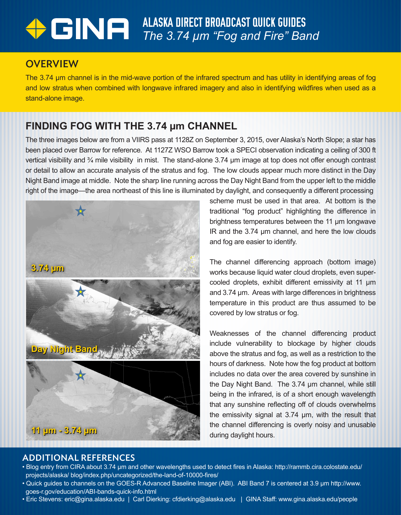# ALASKA DIRECT BROADCAST QUICK GUIDES *The 3.74 µm "Fog and Fire" Band*

### **OVERVIEW**

The 3.74 µm channel is in the mid-wave portion of the infrared spectrum and has utility in identifying areas of fog and low stratus when combined with longwave infrared imagery and also in identifying wildfires when used as a stand-alone image.

## **FINDING FOG WITH THE 3.74 µm CHANNEL**

The three images below are from a VIIRS pass at 1128Z on September 3, 2015, over Alaska's North Slope; a star has been placed over Barrow for reference. At 1127Z WSO Barrow took a SPECI observation indicating a ceiling of 300 ft vertical visibility and ¾ mile visibility in mist. The stand-alone 3.74 µm image at top does not offer enough contrast or detail to allow an accurate analysis of the stratus and fog. The low clouds appear much more distinct in the Day Night Band image at middle. Note the sharp line running across the Day Night Band from the upper left to the middle right of the image—the area northeast of this line is illuminated by daylight, and consequently a different processing



scheme must be used in that area. At bottom is the traditional "fog product" highlighting the difference in brightness temperatures between the 11 µm longwave IR and the 3.74 µm channel, and here the low clouds and fog are easier to identify.

The channel differencing approach (bottom image) works because liquid water cloud droplets, even supercooled droplets, exhibit different emissivity at 11 µm and 3.74 µm. Areas with large differences in brightness temperature in this product are thus assumed to be covered by low stratus or fog.

Weaknesses of the channel differencing product include vulnerability to blockage by higher clouds above the stratus and fog, as well as a restriction to the hours of darkness. Note how the fog product at bottom includes no data over the area covered by sunshine in the Day Night Band. The 3.74 µm channel, while still being in the infrared, is of a short enough wavelength that any sunshine reflecting off of clouds overwhelms the emissivity signal at 3.74 µm, with the result that the channel differencing is overly noisy and unusable during daylight hours.

#### ADDITIONAL REFERENCES

- Blog entry from CIRA about 3.74 µm and other wavelengths used to detect fires in Alaska: http://rammb.cira.colostate.edu/ projects/alaska/ blog/index.php/uncategorized/the-land-of-10000-fires/
- Quick guides to channels on the GOES-R Advanced Baseline Imager (ABI). ABI Band 7 is centered at 3.9 µm http://www. goes-r.gov/education/ABI-bands-quick-info.html
- Eric Stevens: eric@gina.alaska.edu | Carl Dierking: cfdierking@alaska.edu | GINA Staff: www.gina.alaska.edu/people